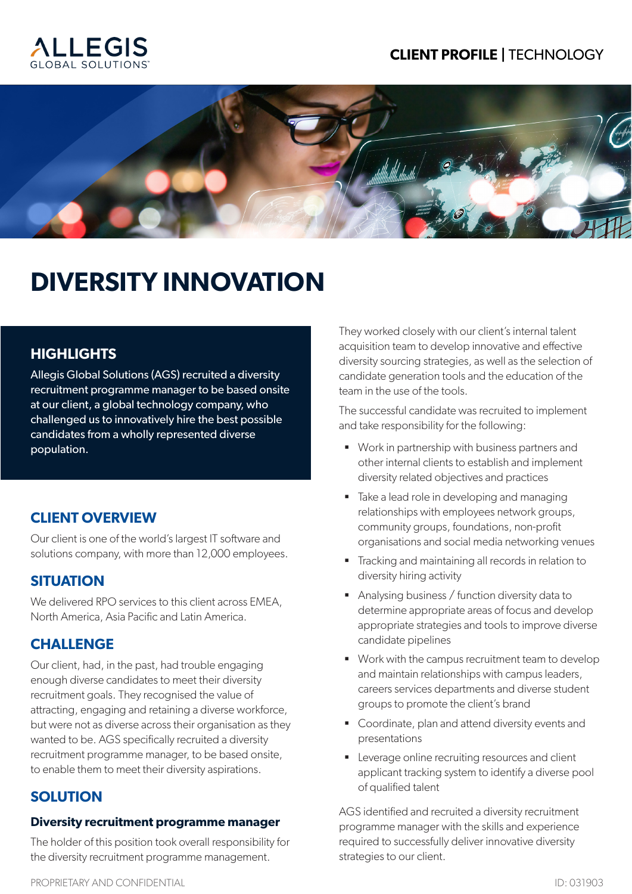## **CLIENT PROFILE |** TECHNOLOGY





# **DIVERSITY INNOVATION**

## **HIGHLIGHTS**

Allegis Global Solutions (AGS) recruited a diversity recruitment programme manager to be based onsite at our client, a global technology company, who challenged us to innovatively hire the best possible candidates from a wholly represented diverse population.

## **CLIENT OVERVIEW**

Our client is one of the world's largest IT software and solutions company, with more than 12,000 employees.

#### **SITUATION**

We delivered RPO services to this client across EMEA. North America, Asia Pacific and Latin America.

#### **CHALLENGE**

Our client, had, in the past, had trouble engaging enough diverse candidates to meet their diversity recruitment goals. They recognised the value of attracting, engaging and retaining a diverse workforce, but were not as diverse across their organisation as they wanted to be. AGS specifically recruited a diversity recruitment programme manager, to be based onsite, to enable them to meet their diversity aspirations.

## **SOLUTION**

#### **Diversity recruitment programme manager**

The holder of this position took overall responsibility for the diversity recruitment programme management.

They worked closely with our client's internal talent acquisition team to develop innovative and effective diversity sourcing strategies, as well as the selection of candidate generation tools and the education of the team in the use of the tools.

The successful candidate was recruited to implement and take responsibility for the following:

- Work in partnership with business partners and other internal clients to establish and implement diversity related objectives and practices
- Take a lead role in developing and managing relationships with employees network groups, community groups, foundations, non-profit organisations and social media networking venues
- **Tracking and maintaining all records in relation to** diversity hiring activity
- Analysing business / function diversity data to determine appropriate areas of focus and develop appropriate strategies and tools to improve diverse candidate pipelines
- Work with the campus recruitment team to develop and maintain relationships with campus leaders, careers services departments and diverse student groups to promote the client's brand
- Coordinate, plan and attend diversity events and presentations
- **EXECTE:** Leverage online recruiting resources and client applicant tracking system to identify a diverse pool of qualified talent

AGS identified and recruited a diversity recruitment programme manager with the skills and experience required to successfully deliver innovative diversity strategies to our client.